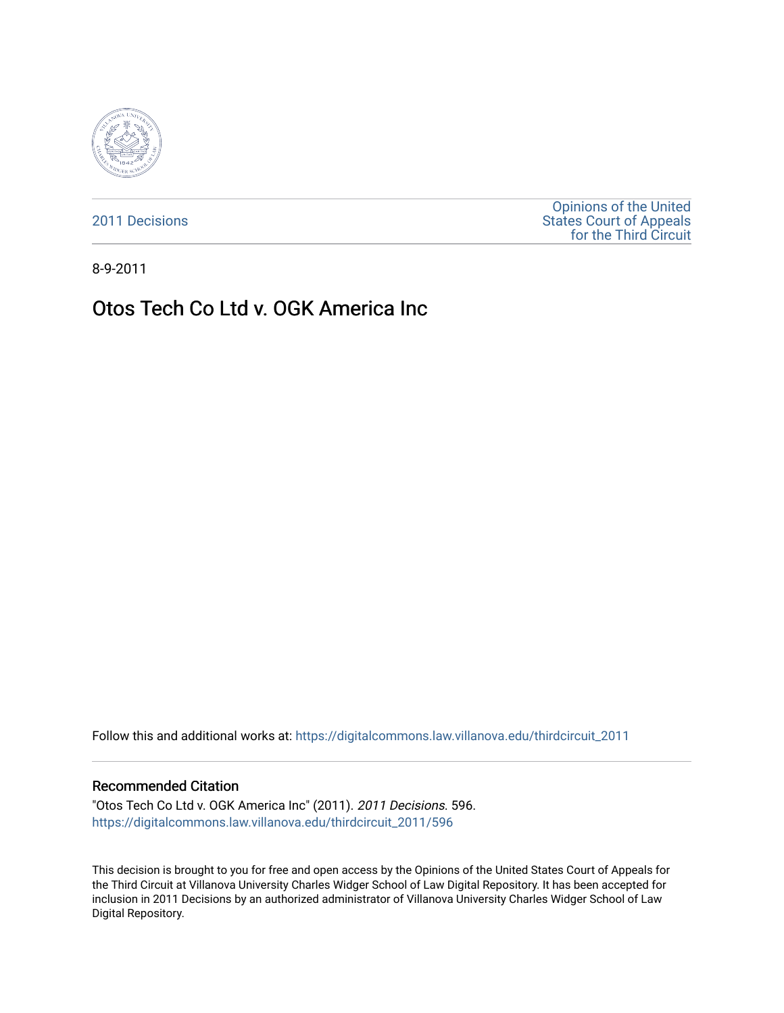

[2011 Decisions](https://digitalcommons.law.villanova.edu/thirdcircuit_2011)

[Opinions of the United](https://digitalcommons.law.villanova.edu/thirdcircuit)  [States Court of Appeals](https://digitalcommons.law.villanova.edu/thirdcircuit)  [for the Third Circuit](https://digitalcommons.law.villanova.edu/thirdcircuit) 

8-9-2011

# Otos Tech Co Ltd v. OGK America Inc

Follow this and additional works at: [https://digitalcommons.law.villanova.edu/thirdcircuit\\_2011](https://digitalcommons.law.villanova.edu/thirdcircuit_2011?utm_source=digitalcommons.law.villanova.edu%2Fthirdcircuit_2011%2F596&utm_medium=PDF&utm_campaign=PDFCoverPages) 

### Recommended Citation

"Otos Tech Co Ltd v. OGK America Inc" (2011). 2011 Decisions. 596. [https://digitalcommons.law.villanova.edu/thirdcircuit\\_2011/596](https://digitalcommons.law.villanova.edu/thirdcircuit_2011/596?utm_source=digitalcommons.law.villanova.edu%2Fthirdcircuit_2011%2F596&utm_medium=PDF&utm_campaign=PDFCoverPages)

This decision is brought to you for free and open access by the Opinions of the United States Court of Appeals for the Third Circuit at Villanova University Charles Widger School of Law Digital Repository. It has been accepted for inclusion in 2011 Decisions by an authorized administrator of Villanova University Charles Widger School of Law Digital Repository.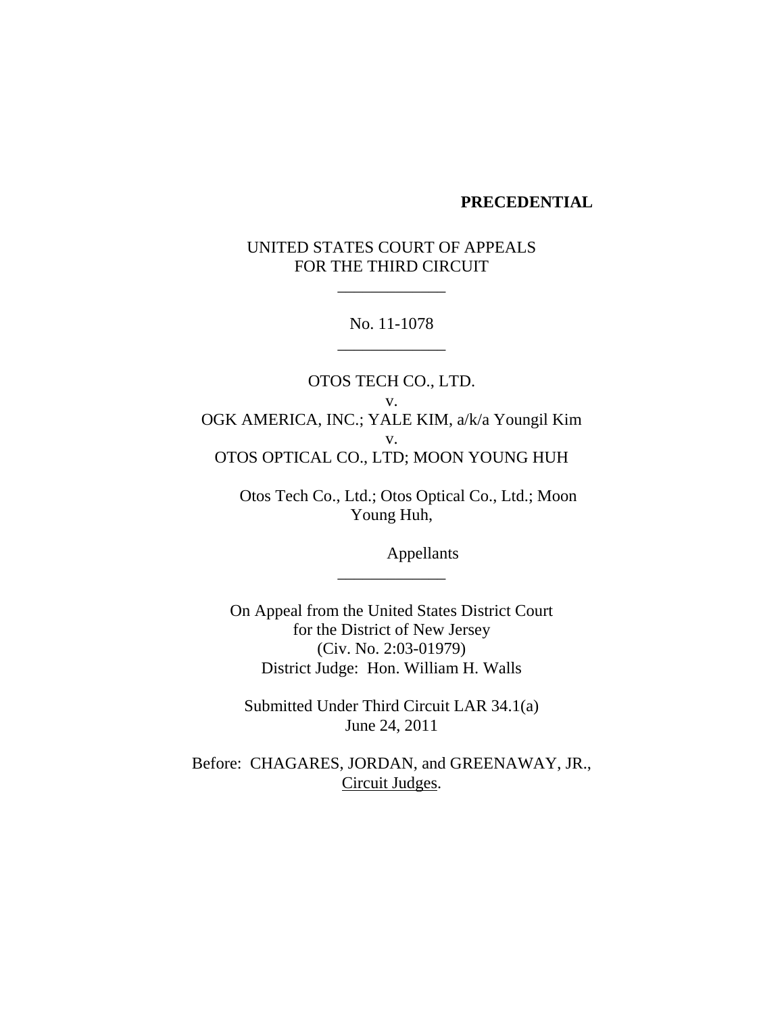## **PRECEDENTIAL**

## UNITED STATES COURT OF APPEALS FOR THE THIRD CIRCUIT

\_\_\_\_\_\_\_\_\_\_\_\_\_

No. 11-1078 \_\_\_\_\_\_\_\_\_\_\_\_\_

OTOS TECH CO., LTD. v. OGK AMERICA, INC.; YALE KIM, a/k/a Youngil Kim v. OTOS OPTICAL CO., LTD; MOON YOUNG HUH

 Otos Tech Co., Ltd.; Otos Optical Co., Ltd.; Moon Young Huh,

Appellants

On Appeal from the United States District Court for the District of New Jersey (Civ. No. 2:03-01979) District Judge: Hon. William H. Walls

\_\_\_\_\_\_\_\_\_\_\_\_\_

Submitted Under Third Circuit LAR 34.1(a) June 24, 2011

Before: CHAGARES, JORDAN, and GREENAWAY, JR., Circuit Judges.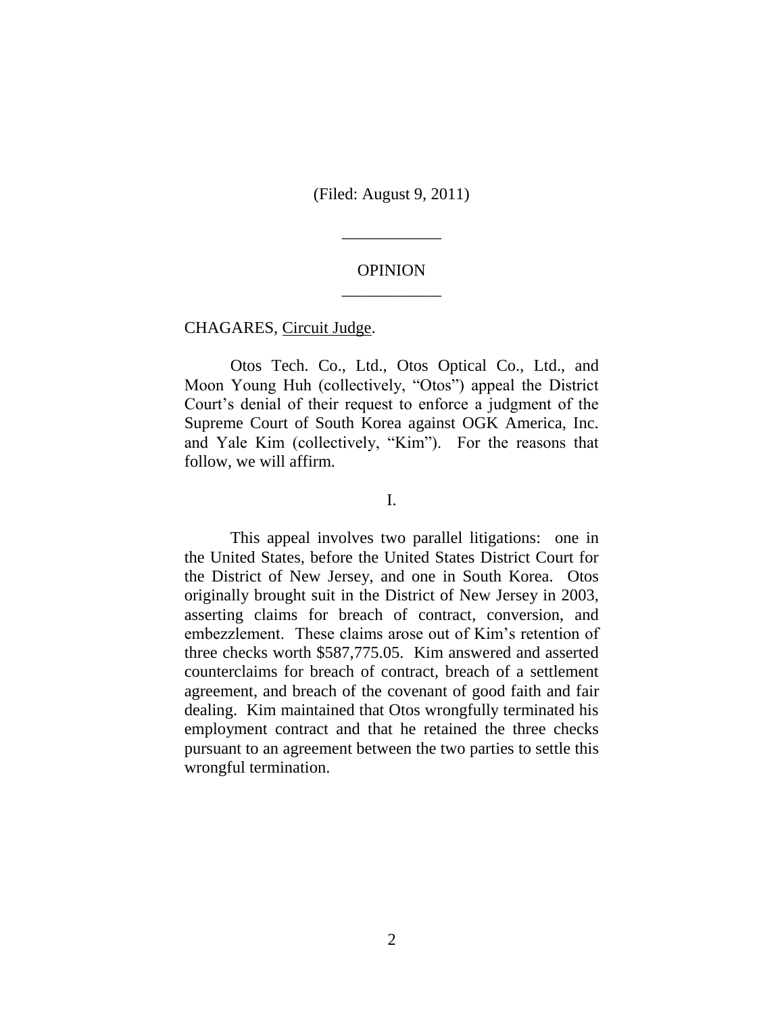(Filed: August 9, 2011)

\_\_\_\_\_\_\_\_\_\_\_\_

## OPINION \_\_\_\_\_\_\_\_\_\_\_\_

CHAGARES, Circuit Judge.

Otos Tech. Co., Ltd., Otos Optical Co., Ltd., and Moon Young Huh (collectively, "Otos") appeal the District Court's denial of their request to enforce a judgment of the Supreme Court of South Korea against OGK America, Inc. and Yale Kim (collectively, "Kim"). For the reasons that follow, we will affirm.

I.

This appeal involves two parallel litigations: one in the United States, before the United States District Court for the District of New Jersey, and one in South Korea. Otos originally brought suit in the District of New Jersey in 2003, asserting claims for breach of contract, conversion, and embezzlement. These claims arose out of Kim's retention of three checks worth \$587,775.05. Kim answered and asserted counterclaims for breach of contract, breach of a settlement agreement, and breach of the covenant of good faith and fair dealing. Kim maintained that Otos wrongfully terminated his employment contract and that he retained the three checks pursuant to an agreement between the two parties to settle this wrongful termination.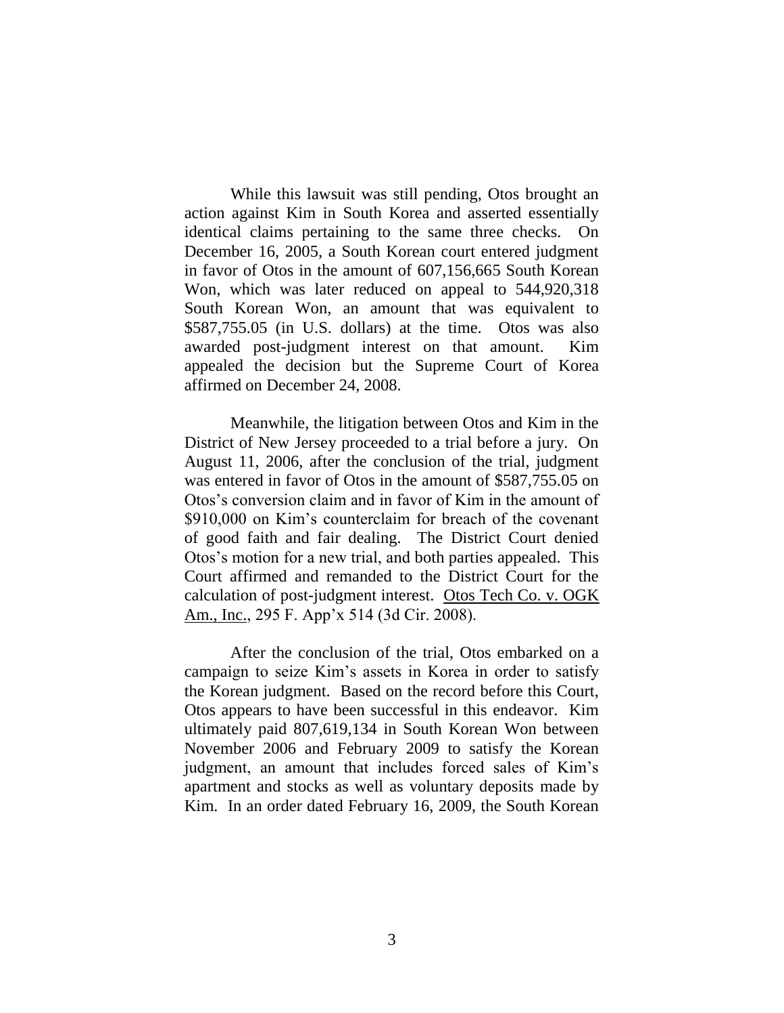While this lawsuit was still pending, Otos brought an action against Kim in South Korea and asserted essentially identical claims pertaining to the same three checks. On December 16, 2005, a South Korean court entered judgment in favor of Otos in the amount of 607,156,665 South Korean Won, which was later reduced on appeal to 544,920,318 South Korean Won, an amount that was equivalent to \$587,755.05 (in U.S. dollars) at the time. Otos was also awarded post-judgment interest on that amount. Kim appealed the decision but the Supreme Court of Korea affirmed on December 24, 2008.

Meanwhile, the litigation between Otos and Kim in the District of New Jersey proceeded to a trial before a jury. On August 11, 2006, after the conclusion of the trial, judgment was entered in favor of Otos in the amount of \$587,755.05 on Otos's conversion claim and in favor of Kim in the amount of \$910,000 on Kim's counterclaim for breach of the covenant of good faith and fair dealing. The District Court denied Otos's motion for a new trial, and both parties appealed. This Court affirmed and remanded to the District Court for the calculation of post-judgment interest. Otos Tech Co. v. OGK Am., Inc., 295 F. App'x 514 (3d Cir. 2008).

After the conclusion of the trial, Otos embarked on a campaign to seize Kim's assets in Korea in order to satisfy the Korean judgment. Based on the record before this Court, Otos appears to have been successful in this endeavor. Kim ultimately paid 807,619,134 in South Korean Won between November 2006 and February 2009 to satisfy the Korean judgment, an amount that includes forced sales of Kim's apartment and stocks as well as voluntary deposits made by Kim. In an order dated February 16, 2009, the South Korean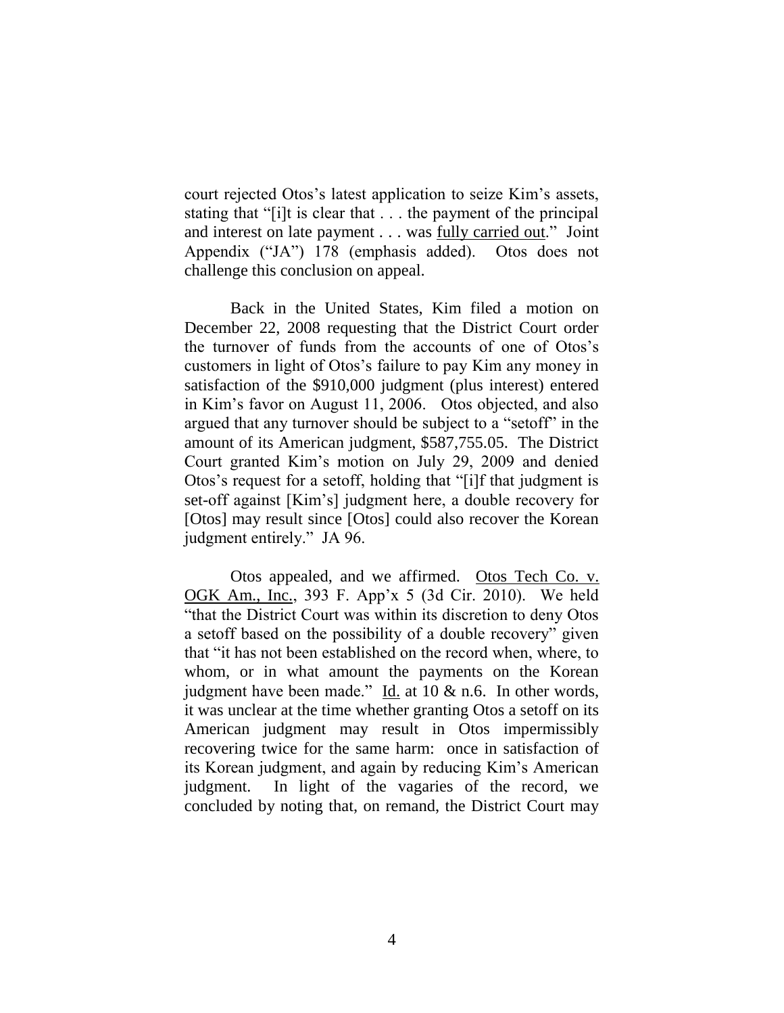court rejected Otos's latest application to seize Kim's assets, stating that "[i]t is clear that . . . the payment of the principal and interest on late payment . . . was fully carried out." Joint Appendix ("JA") 178 (emphasis added). Otos does not challenge this conclusion on appeal.

Back in the United States, Kim filed a motion on December 22, 2008 requesting that the District Court order the turnover of funds from the accounts of one of Otos's customers in light of Otos's failure to pay Kim any money in satisfaction of the \$910,000 judgment (plus interest) entered in Kim's favor on August 11, 2006. Otos objected, and also argued that any turnover should be subject to a "setoff" in the amount of its American judgment, \$587,755.05. The District Court granted Kim's motion on July 29, 2009 and denied Otos's request for a setoff, holding that "[i]f that judgment is set-off against [Kim's] judgment here, a double recovery for [Otos] may result since [Otos] could also recover the Korean judgment entirely." JA 96.

Otos appealed, and we affirmed. Otos Tech Co. v. OGK Am., Inc., 393 F. App'x 5 (3d Cir. 2010). We held "that the District Court was within its discretion to deny Otos a setoff based on the possibility of a double recovery" given that "it has not been established on the record when, where, to whom, or in what amount the payments on the Korean judgment have been made." Id. at 10 & n.6. In other words, it was unclear at the time whether granting Otos a setoff on its American judgment may result in Otos impermissibly recovering twice for the same harm: once in satisfaction of its Korean judgment, and again by reducing Kim's American judgment. In light of the vagaries of the record, we concluded by noting that, on remand, the District Court may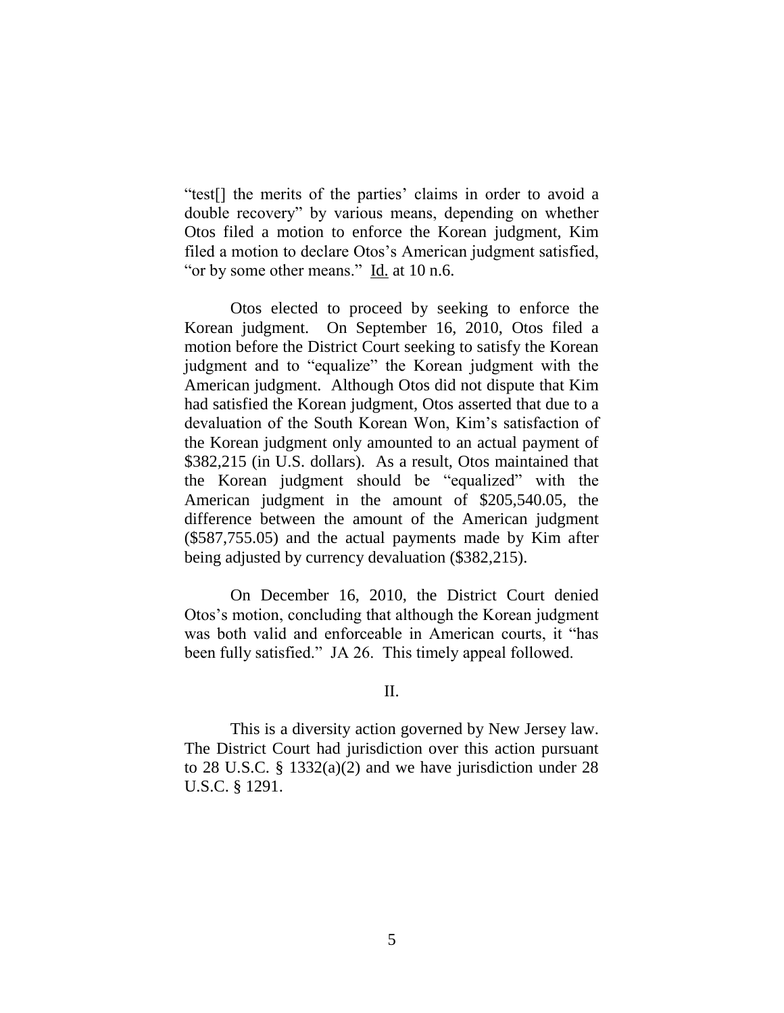"test[] the merits of the parties' claims in order to avoid a double recovery" by various means, depending on whether Otos filed a motion to enforce the Korean judgment, Kim filed a motion to declare Otos's American judgment satisfied, "or by some other means." Id. at 10 n.6.

Otos elected to proceed by seeking to enforce the Korean judgment. On September 16, 2010, Otos filed a motion before the District Court seeking to satisfy the Korean judgment and to "equalize" the Korean judgment with the American judgment. Although Otos did not dispute that Kim had satisfied the Korean judgment, Otos asserted that due to a devaluation of the South Korean Won, Kim's satisfaction of the Korean judgment only amounted to an actual payment of \$382,215 (in U.S. dollars). As a result, Otos maintained that the Korean judgment should be "equalized" with the American judgment in the amount of \$205,540.05, the difference between the amount of the American judgment (\$587,755.05) and the actual payments made by Kim after being adjusted by currency devaluation (\$382,215).

On December 16, 2010, the District Court denied Otos's motion, concluding that although the Korean judgment was both valid and enforceable in American courts, it "has been fully satisfied." JA 26. This timely appeal followed.

### II.

This is a diversity action governed by New Jersey law. The District Court had jurisdiction over this action pursuant to 28 U.S.C. § 1332(a)(2) and we have jurisdiction under 28 U.S.C. § 1291.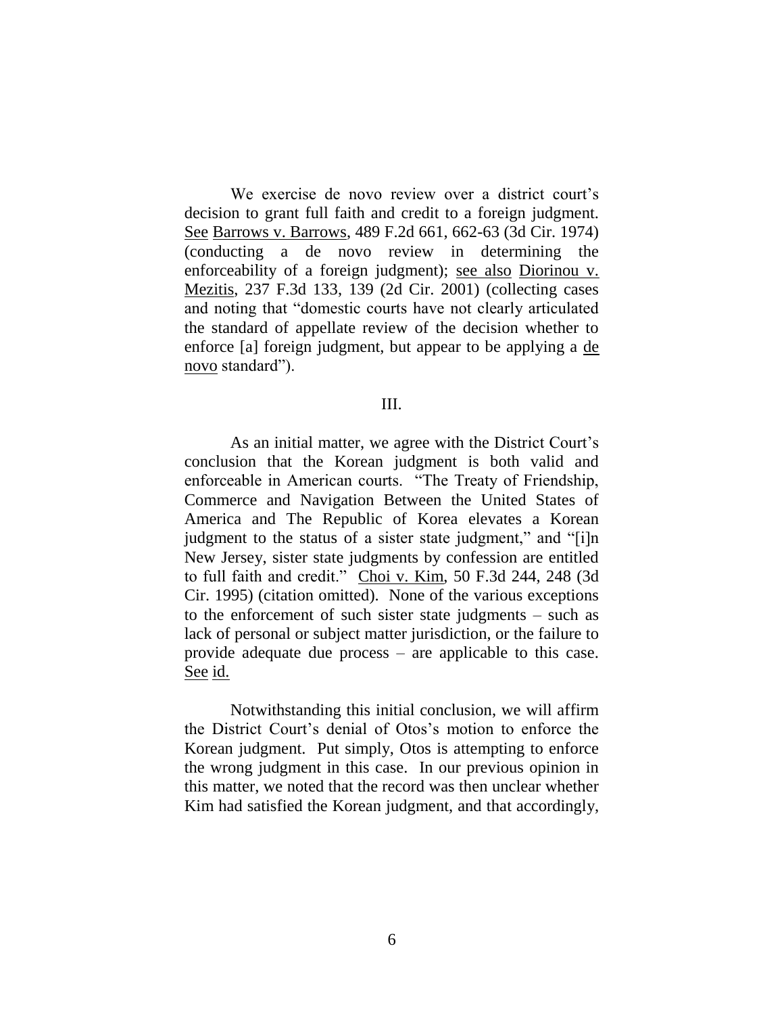We exercise de novo review over a district court's decision to grant full faith and credit to a foreign judgment. See Barrows v. Barrows, 489 F.2d 661, 662-63 (3d Cir. 1974) (conducting a de novo review in determining the enforceability of a foreign judgment); see also Diorinou v. Mezitis, 237 F.3d 133, 139 (2d Cir. 2001) (collecting cases and noting that "domestic courts have not clearly articulated the standard of appellate review of the decision whether to enforce [a] foreign judgment, but appear to be applying a de novo standard").

### III.

As an initial matter, we agree with the District Court's conclusion that the Korean judgment is both valid and enforceable in American courts. "The Treaty of Friendship, Commerce and Navigation Between the United States of America and The Republic of Korea elevates a Korean judgment to the status of a sister state judgment," and "[i]n New Jersey, sister state judgments by confession are entitled to full faith and credit." Choi v. Kim, 50 F.3d 244, 248 (3d Cir. 1995) (citation omitted). None of the various exceptions to the enforcement of such sister state judgments – such as lack of personal or subject matter jurisdiction, or the failure to provide adequate due process – are applicable to this case. See id.

Notwithstanding this initial conclusion, we will affirm the District Court's denial of Otos's motion to enforce the Korean judgment. Put simply, Otos is attempting to enforce the wrong judgment in this case. In our previous opinion in this matter, we noted that the record was then unclear whether Kim had satisfied the Korean judgment, and that accordingly,